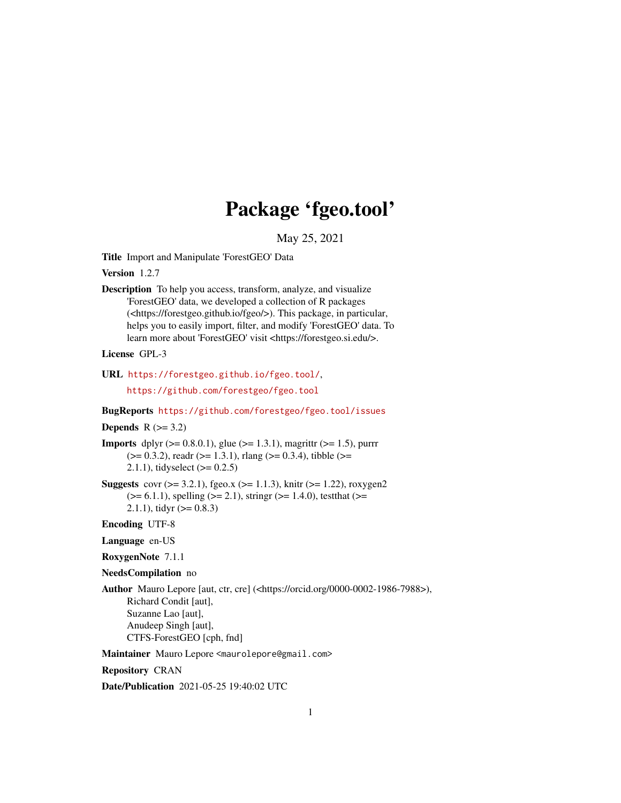# Package 'fgeo.tool'

May 25, 2021

<span id="page-0-0"></span>Title Import and Manipulate 'ForestGEO' Data

Version 1.2.7

Description To help you access, transform, analyze, and visualize 'ForestGEO' data, we developed a collection of R packages (<https://forestgeo.github.io/fgeo/>). This package, in particular, helps you to easily import, filter, and modify 'ForestGEO' data. To learn more about 'ForestGEO' visit <https://forestgeo.si.edu/>.

License GPL-3

```
URL https://forestgeo.github.io/fgeo.tool/,
```
<https://github.com/forestgeo/fgeo.tool>

#### BugReports <https://github.com/forestgeo/fgeo.tool/issues>

#### Depends  $R$  ( $>= 3.2$ )

**Imports** dplyr  $(>= 0.8.0.1)$ , glue  $(>= 1.3.1)$ , magrittr  $(>= 1.5)$ , purrr  $(>= 0.3.2)$ , readr  $(>= 1.3.1)$ , rlang  $(>= 0.3.4)$ , tibble  $(>= 0.3.4)$ 2.1.1), tidyselect  $(>= 0.2.5)$ 

**Suggests** covr ( $> = 3.2.1$ ), fgeo.x ( $> = 1.1.3$ ), knitr ( $> = 1.22$ ), roxygen2  $(>= 6.1.1)$ , spelling  $(>= 2.1)$ , stringr  $(>= 1.4.0)$ , testthat  $(>= 1.4.0)$ 2.1.1), tidyr  $(>= 0.8.3)$ 

#### Encoding UTF-8

Language en-US

RoxygenNote 7.1.1

#### NeedsCompilation no

Author Mauro Lepore [aut, ctr, cre] (<https://orcid.org/0000-0002-1986-7988>), Richard Condit [aut], Suzanne Lao [aut], Anudeep Singh [aut], CTFS-ForestGEO [cph, fnd]

Maintainer Mauro Lepore <maurolepore@gmail.com>

#### Repository CRAN

Date/Publication 2021-05-25 19:40:02 UTC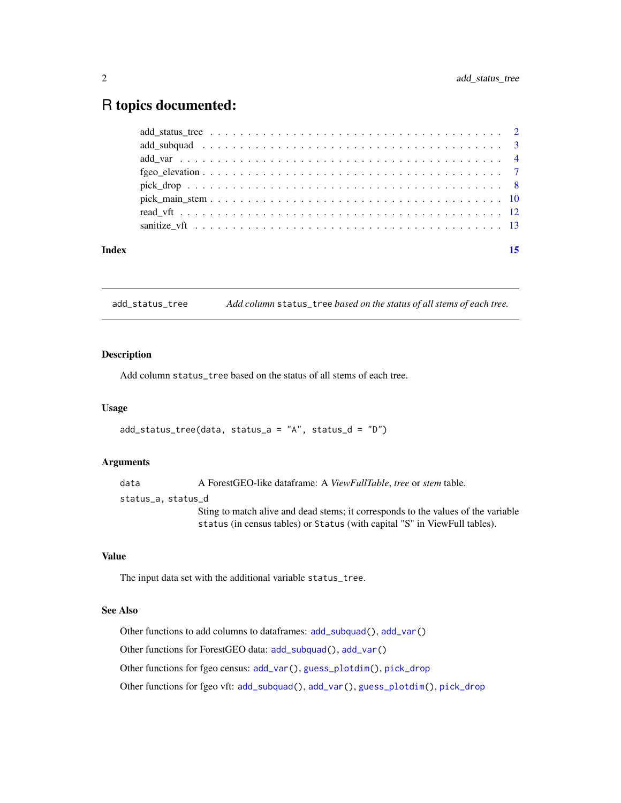## <span id="page-1-0"></span>R topics documented:

| Index | 15 |
|-------|----|
|       |    |
|       |    |
|       |    |
|       |    |
|       |    |
|       |    |
|       |    |
|       |    |

<span id="page-1-1"></span>add\_status\_tree *Add column* status\_tree *based on the status of all stems of each tree.*

#### Description

Add column status\_tree based on the status of all stems of each tree.

#### Usage

```
add_status_tree(data, status_a = "A", status_d = "D")
```
#### Arguments

data A ForestGEO-like dataframe: A *ViewFullTable*, *tree* or *stem* table. status\_a, status\_d Sting to match alive and dead stems; it corresponds to the values of the variable status (in census tables) or Status (with capital "S" in ViewFull tables).

#### Value

The input data set with the additional variable status\_tree.

#### See Also

Other functions to add columns to dataframes: [add\\_subquad\(](#page-2-1)), [add\\_var\(](#page-3-1))

Other functions for ForestGEO data: [add\\_subquad\(](#page-2-1)), [add\\_var\(](#page-3-1))

Other functions for fgeo census: [add\\_var\(](#page-3-1)), [guess\\_plotdim\(](#page-0-0)), [pick\\_drop](#page-7-1)

Other functions for fgeo vft: [add\\_subquad\(](#page-2-1)), [add\\_var\(](#page-3-1)), [guess\\_plotdim\(](#page-0-0)), [pick\\_drop](#page-7-1)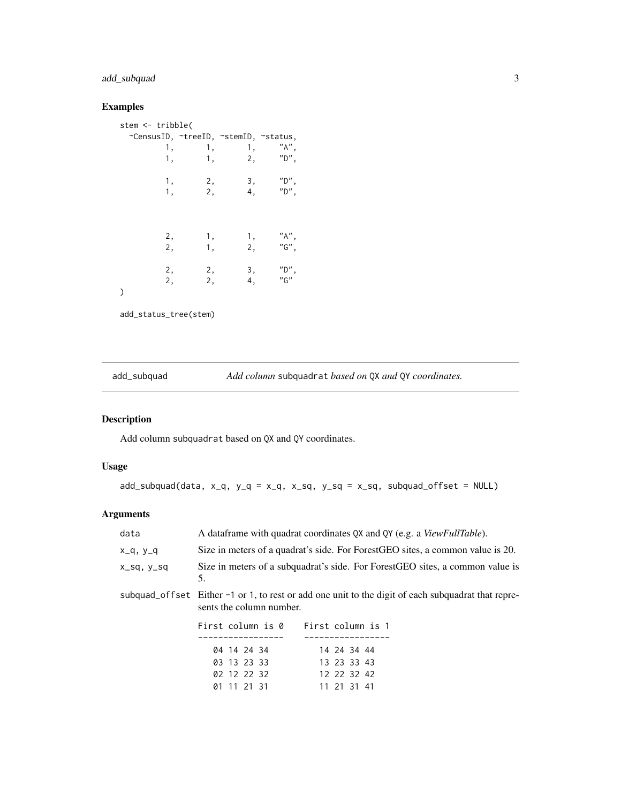### <span id="page-2-0"></span>add\_subquad 3

#### Examples

| stem <- tribble(                      |          |          |                |
|---------------------------------------|----------|----------|----------------|
| ~CensusID, ~treeID, ~stemID, ~status, |          |          |                |
| 1,                                    | 1,       | 1,       | $"A"$ ,        |
| 1,                                    | 1,       | 2,       | $"D"$ ,        |
| 1,                                    | 2,       | 3,       | $"D"$ ,        |
| 1,                                    | 2,       | 4,       | $"D"$ ,        |
| 2,                                    | 1,       | 1,       | $"A"$ ,        |
| 2,                                    | 1,       | 2,       | $"G"$ ,        |
| 2,<br>2,                              | 2,<br>2, | 3,<br>4, | $"D"$ ,<br>"G" |
|                                       |          |          |                |

add\_status\_tree(stem)

<span id="page-2-1"></span>add\_subquad *Add column* subquadrat *based on* QX *and* QY *coordinates.*

### Description

Add column subquadrat based on QX and QY coordinates.

#### Usage

 $add\_subquad(data, x_q, y_q = x_q, x_sq, y_sq = x_sq, subquad\_offset = NULL)$ 

### Arguments

|                                     | A dataframe with quadrat coordinates QX and QY (e.g. a ViewFullTable).                             |
|-------------------------------------|----------------------------------------------------------------------------------------------------|
|                                     | Size in meters of a quadrat's side. For ForestGEO sites, a common value is 20.                     |
| 5.                                  | Size in meters of a subquadrat's side. For ForestGEO sites, a common value is                      |
| sents the column number.            | subquad_offset Either -1 or 1, to rest or add one unit to the digit of each subquadrat that repre- |
| First column is 0 First column is 1 |                                                                                                    |
| 04 14 24 34<br>03 13 23 33          | 14 24 34 44<br>13 23 33 43                                                                         |
|                                     |                                                                                                    |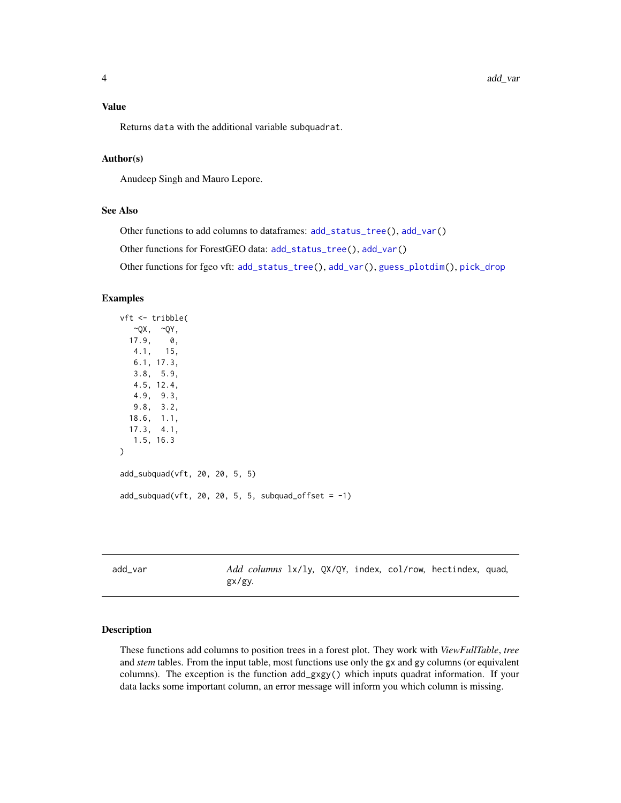#### <span id="page-3-0"></span>Value

Returns data with the additional variable subquadrat.

#### Author(s)

Anudeep Singh and Mauro Lepore.

#### See Also

Other functions to add columns to dataframes: [add\\_status\\_tree\(](#page-1-1)), [add\\_var\(](#page-3-1))

Other functions for ForestGEO data: [add\\_status\\_tree\(](#page-1-1)), [add\\_var\(](#page-3-1))

Other functions for fgeo vft: [add\\_status\\_tree\(](#page-1-1)), [add\\_var\(](#page-3-1)), [guess\\_plotdim\(](#page-0-0)), [pick\\_drop](#page-7-1)

#### Examples

```
vft <- tribble(
  ~\simQX, ~\simQY,
 17.9, 0,
  4.1, 15,
  6.1, 17.3,
  3.8, 5.9,
  4.5, 12.4,
  4.9, 9.3,
  9.8, 3.2,
 18.6, 1.1,
 17.3, 4.1,
  1.5, 16.3
)
add_subquad(vft, 20, 20, 5, 5)
add\_subquad(vft, 20, 20, 5, 5, subquad_ooffset = -1)
```
<span id="page-3-1"></span>

| add var |        |  |  | Add columns 1x/1y, QX/QY, index, col/row, hectindex, quad, |  |
|---------|--------|--|--|------------------------------------------------------------|--|
|         | gx/gy. |  |  |                                                            |  |

#### Description

These functions add columns to position trees in a forest plot. They work with *ViewFullTable*, *tree* and *stem* tables. From the input table, most functions use only the gx and gy columns (or equivalent columns). The exception is the function add\_gxgy() which inputs quadrat information. If your data lacks some important column, an error message will inform you which column is missing.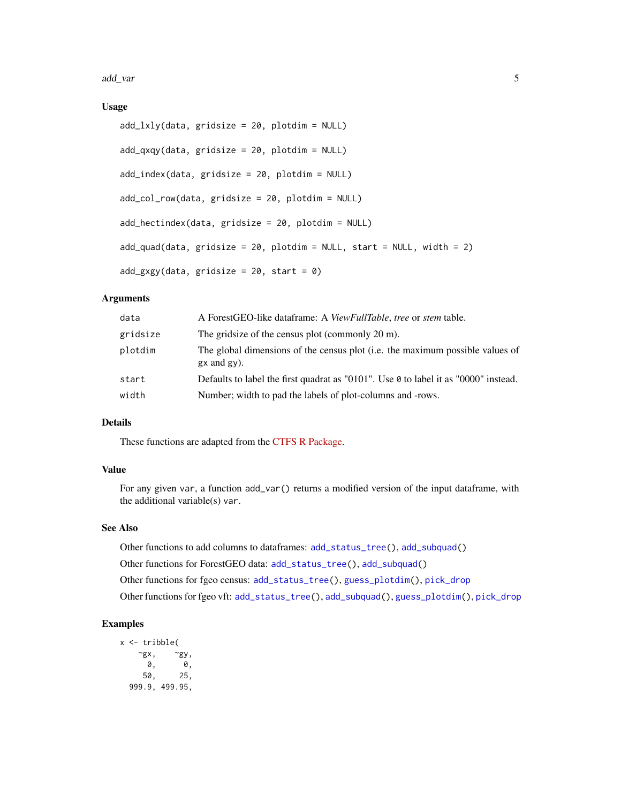<span id="page-4-0"></span>add\_var 5

#### Usage

```
add_lxly(data, gridsize = 20, plotdim = NULL)
add_qxqy(data, gridsize = 20, plotdim = NULL)
add_index(data, gridsize = 20, plotdim = NULL)
add_col_row(data, gridsize = 20, plotdim = NULL)
add_hectindex(data, gridsize = 20, plotdim = NULL)
add_quad(data, gridsize = 20, plotdim = NULL, start = NULL, width = 2)add_gxgy(data, gridsize = 20, start = 0)
```
#### Arguments

| data     | A ForestGEO-like dataframe: A <i>ViewFullTable</i> , <i>tree</i> or <i>stem</i> table.            |
|----------|---------------------------------------------------------------------------------------------------|
| gridsize | The grid size of the census plot (commonly $20 \text{ m}$ ).                                      |
| plotdim  | The global dimensions of the census plot (i.e. the maximum possible values of<br>$gx$ and $gy)$ . |
| start    | Defaults to label the first quadrat as "0101". Use 0 to label it as "0000" instead.               |
| width    | Number; width to pad the labels of plot-columns and -rows.                                        |

#### Details

These functions are adapted from the [CTFS R Package.](https://forestgeo.si.edu/explore-data/r-package-0)

#### Value

For any given var, a function add\_var() returns a modified version of the input dataframe, with the additional variable(s) var.

#### See Also

Other functions to add columns to dataframes: [add\\_status\\_tree\(](#page-1-1)), [add\\_subquad\(](#page-2-1))

- Other functions for ForestGEO data: [add\\_status\\_tree\(](#page-1-1)), [add\\_subquad\(](#page-2-1))
- Other functions for fgeo census: [add\\_status\\_tree\(](#page-1-1)), [guess\\_plotdim\(](#page-0-0)), [pick\\_drop](#page-7-1)

Other functions for fgeo vft: [add\\_status\\_tree\(](#page-1-1)), [add\\_subquad\(](#page-2-1)), [guess\\_plotdim\(](#page-0-0)), [pick\\_drop](#page-7-1)

#### Examples

x <- tribble(  $\begin{matrix} \mathbf{\widetilde{y}}\mathbf{x}\,, & & \mathbf{\widetilde{y}}\mathbf{y}\,, \\ \mathbf{0}\,, & & \mathbf{0}\,, \end{matrix}$ 0, 0, 50, 25, 999.9, 499.95,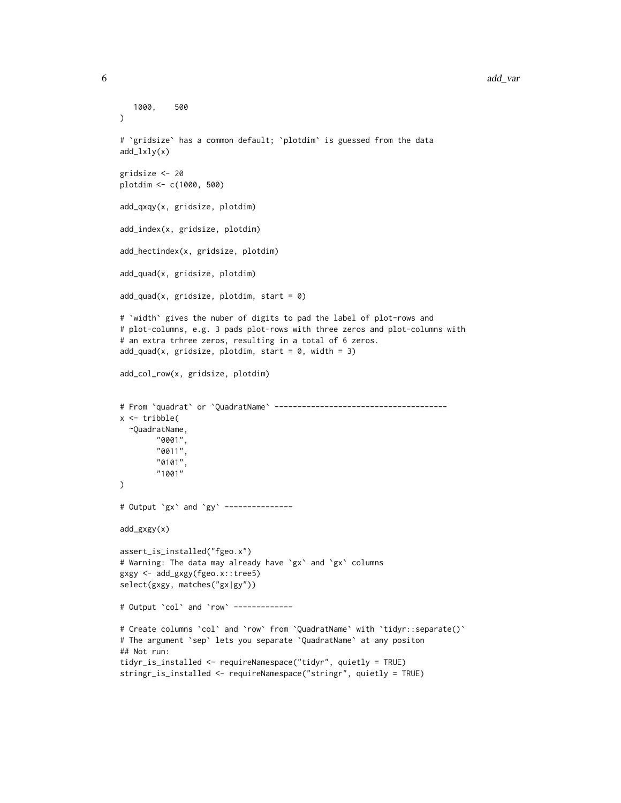```
1000, 500
)
# `gridsize` has a common default; `plotdim` is guessed from the data
add_lxly(x)
gridsize <- 20
plotdim <- c(1000, 500)
add_qxqy(x, gridsize, plotdim)
add_index(x, gridsize, plotdim)
add_hectindex(x, gridsize, plotdim)
add_quad(x, gridsize, plotdim)
add\_quad(x, gridsize, plotdim, start = 0)# `width` gives the nuber of digits to pad the label of plot-rows and
# plot-columns, e.g. 3 pads plot-rows with three zeros and plot-columns with
# an extra trhree zeros, resulting in a total of 6 zeros.
add\_quad(x, gridsize, plotdim, start = 0, width = 3)add_col_row(x, gridsize, plotdim)
# From `quadrat` or `QuadratName` --------------------------------------
x <- tribble(
 ~QuadratName,
       "0001",
       "0011",
       "0101",
       "1001"
)
# Output `gx` and `gy` ---------------
add_gxgy(x)
assert_is_installed("fgeo.x")
# Warning: The data may already have `gx` and `gx` columns
gxgy <- add_gxgy(fgeo.x::tree5)
select(gxgy, matches("gx|gy"))
# Output `col` and `row` -------------
# Create columns `col` and `row` from `QuadratName` with `tidyr::separate()`
# The argument `sep` lets you separate `QuadratName` at any positon
## Not run:
tidyr_is_installed <- requireNamespace("tidyr", quietly = TRUE)
stringr_is_installed <- requireNamespace("stringr", quietly = TRUE)
```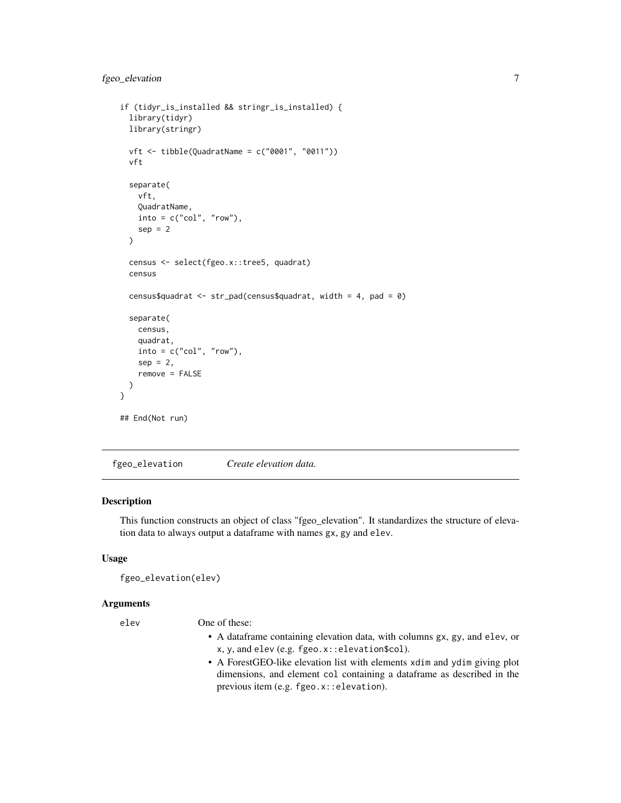```
if (tidyr_is_installed && stringr_is_installed) {
 library(tidyr)
 library(stringr)
 vft <- tibble(QuadratName = c("0001", "0011"))
 vft
 separate(
   vft,
   QuadratName,
   into = c("col", "row"),sep = 2)
 census <- select(fgeo.x::tree5, quadrat)
 census
 census$quadrat <- str_pad(census$quadrat, width = 4, pad = 0)
 separate(
   census,
   quadrat,
   into = c("col", "row"),sep = 2,remove = FALSE
 )
}
## End(Not run)
```
fgeo\_elevation *Create elevation data.*

#### Description

This function constructs an object of class "fgeo\_elevation". It standardizes the structure of elevation data to always output a dataframe with names gx, gy and elev.

#### Usage

```
fgeo_elevation(elev)
```
#### Arguments

elev One of these:

- A dataframe containing elevation data, with columns gx, gy, and elev, or x, y, and elev (e.g. fgeo.x::elevation\$col).
- A ForestGEO-like elevation list with elements xdim and ydim giving plot dimensions, and element col containing a dataframe as described in the previous item (e.g. fgeo.x::elevation).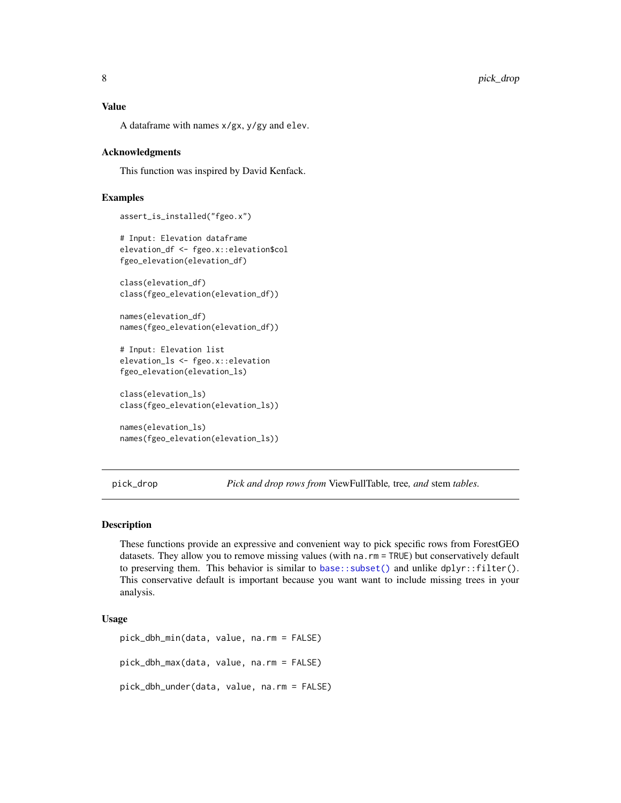<span id="page-7-0"></span>A dataframe with names x/gx, y/gy and elev.

#### Acknowledgments

This function was inspired by David Kenfack.

#### Examples

```
assert_is_installed("fgeo.x")
```

```
# Input: Elevation dataframe
elevation_df <- fgeo.x::elevation$col
fgeo_elevation(elevation_df)
```

```
class(elevation_df)
class(fgeo_elevation(elevation_df))
```

```
names(elevation_df)
names(fgeo_elevation(elevation_df))
```

```
# Input: Elevation list
elevation_ls <- fgeo.x::elevation
fgeo_elevation(elevation_ls)
```

```
class(elevation_ls)
class(fgeo_elevation(elevation_ls))
```

```
names(elevation_ls)
names(fgeo_elevation(elevation_ls))
```
<span id="page-7-1"></span>pick\_drop *Pick and drop rows from* ViewFullTable*,* tree*, and* stem *tables.*

#### Description

These functions provide an expressive and convenient way to pick specific rows from ForestGEO datasets. They allow you to remove missing values (with na. rm = TRUE) but conservatively default to preserving them. This behavior is similar to [base::subset\(\)](#page-0-0) and unlike dplyr::filter(). This conservative default is important because you want want to include missing trees in your analysis.

#### Usage

```
pick_dbh_min(data, value, na.rm = FALSE)
pick_dbh_max(data, value, na.rm = FALSE)
pick_dbh_under(data, value, na.rm = FALSE)
```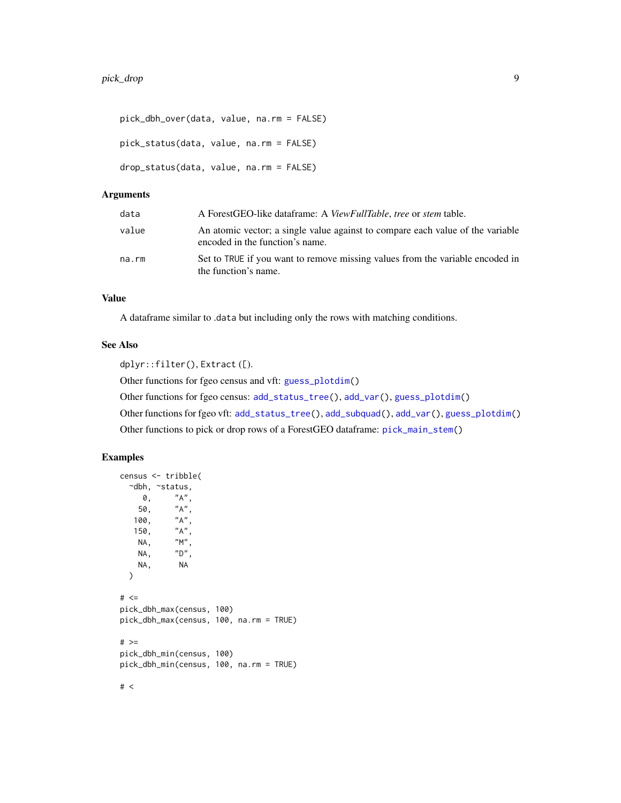```
pick_dbh_over(data, value, na.rm = FALSE)
pick_status(data, value, na.rm = FALSE)
drop_status(data, value, na.rm = FALSE)
```
#### Arguments

| data  | A ForestGEO-like dataframe: A ViewFullTable, tree or stem table.                                                  |
|-------|-------------------------------------------------------------------------------------------------------------------|
| value | An atomic vector; a single value against to compare each value of the variable<br>encoded in the function's name. |
| na.rm | Set to TRUE if you want to remove missing values from the variable encoded in<br>the function's name.             |

#### Value

A dataframe similar to .data but including only the rows with matching conditions.

#### See Also

dplyr::filter(), Extract ([).

Other functions for fgeo census and vft: [guess\\_plotdim\(](#page-0-0))

Other functions for fgeo census: [add\\_status\\_tree\(](#page-1-1)), [add\\_var\(](#page-3-1)), [guess\\_plotdim\(](#page-0-0))

Other functions for fgeo vft: [add\\_status\\_tree\(](#page-1-1)), [add\\_subquad\(](#page-2-1)), [add\\_var\(](#page-3-1)), [guess\\_plotdim\(](#page-0-0))

Other functions to pick or drop rows of a ForestGEO dataframe: [pick\\_main\\_stem\(](#page-9-1))

#### Examples

```
census <- tribble(
 ~dbh, ~status,
    0, "A",
   50, "A",
  100, "A",
   150, "A",
   NA, "M",
   NA, "D",
   NA, NA
 \lambda# < =pick_dbh_max(census, 100)
pick_dbh_max(census, 100, na.rm = TRUE)
# >=
pick_dbh_min(census, 100)
pick_dbh_min(census, 100, na.rm = TRUE)
```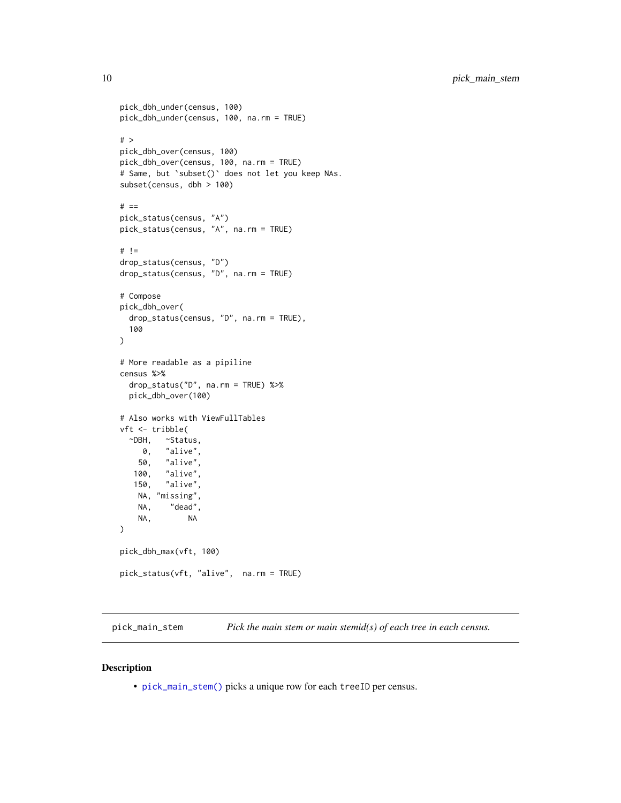```
pick_dbh_under(census, 100)
pick_dbh_under(census, 100, na.rm = TRUE)
# >
pick_dbh_over(census, 100)
pick_dbh_over(census, 100, na.rm = TRUE)
# Same, but `subset()` does not let you keep NAs.
subset(census, dbh > 100)
# ==pick_status(census, "A")
pick_status(census, "A", na.rm = TRUE)
# !=
drop_status(census, "D")
drop_status(census, "D", na.rm = TRUE)
# Compose
pick_dbh_over(
  drop_status(census, "D", na.rm = TRUE),
  100
)
# More readable as a pipiline
census %>%
  drop_status("D", na.rm = TRUE) %>%
  pick_dbh_over(100)
# Also works with ViewFullTables
vft <- tribble(
  ~DBH, ~Status,
    0, "alive",
   50, "alive",
   100, "alive",
   150, "alive",
   NA, "missing",
           "dead",
   NA, NA
)
pick_dbh_max(vft, 100)
pick_status(vft, "alive", na.rm = TRUE)
```
<span id="page-9-1"></span>pick\_main\_stem *Pick the main stem or main stemid(s) of each tree in each census.*

#### <span id="page-9-2"></span>Description

• [pick\\_main\\_stem\(\)](#page-9-1) picks a unique row for each treeID per census.

<span id="page-9-0"></span>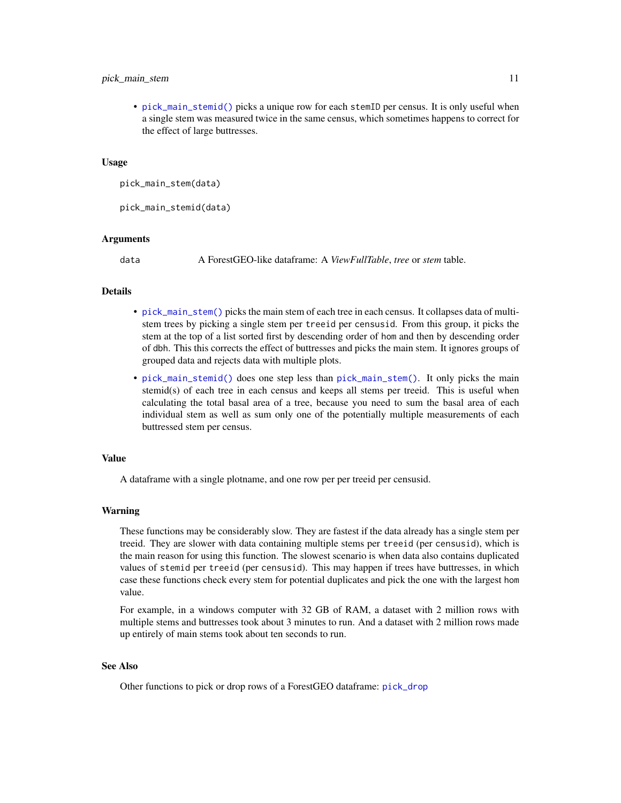#### <span id="page-10-0"></span>pick\_main\_stem 11

• [pick\\_main\\_stemid\(\)](#page-9-2) picks a unique row for each stemID per census. It is only useful when a single stem was measured twice in the same census, which sometimes happens to correct for the effect of large buttresses.

#### Usage

```
pick_main_stem(data)
```
pick\_main\_stemid(data)

#### Arguments

data A ForestGEO-like dataframe: A *ViewFullTable*, *tree* or *stem* table.

#### Details

- [pick\\_main\\_stem\(\)](#page-9-1) picks the main stem of each tree in each census. It collapses data of multistem trees by picking a single stem per treeid per censusid. From this group, it picks the stem at the top of a list sorted first by descending order of hom and then by descending order of dbh. This this corrects the effect of buttresses and picks the main stem. It ignores groups of grouped data and rejects data with multiple plots.
- [pick\\_main\\_stemid\(\)](#page-9-2) does one step less than [pick\\_main\\_stem\(\)](#page-9-1). It only picks the main stemid(s) of each tree in each census and keeps all stems per treeid. This is useful when calculating the total basal area of a tree, because you need to sum the basal area of each individual stem as well as sum only one of the potentially multiple measurements of each buttressed stem per census.

#### Value

A dataframe with a single plotname, and one row per per treeid per censusid.

#### Warning

These functions may be considerably slow. They are fastest if the data already has a single stem per treeid. They are slower with data containing multiple stems per treeid (per censusid), which is the main reason for using this function. The slowest scenario is when data also contains duplicated values of stemid per treeid (per censusid). This may happen if trees have buttresses, in which case these functions check every stem for potential duplicates and pick the one with the largest hom value.

For example, in a windows computer with 32 GB of RAM, a dataset with 2 million rows with multiple stems and buttresses took about 3 minutes to run. And a dataset with 2 million rows made up entirely of main stems took about ten seconds to run.

#### See Also

Other functions to pick or drop rows of a ForestGEO dataframe: [pick\\_drop](#page-7-1)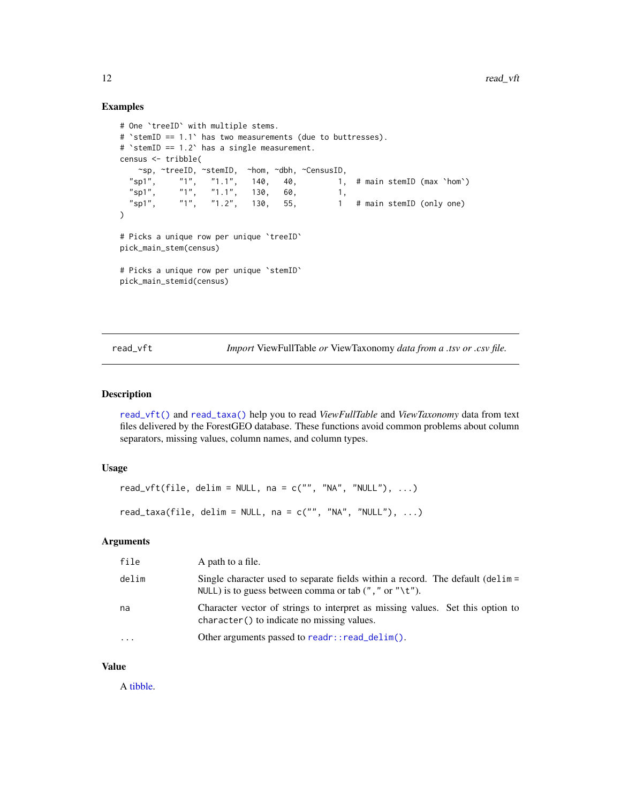#### Examples

```
# One `treeID` with multiple stems.
# `stemID == 1.1` has two measurements (due to buttresses).
# `stemID == 1.2` has a single measurement.
census <- tribble(
  ~sp, ~treeID, ~stemID, ~hom, ~dbh, ~CensusID,
                              140, 40, 1, # main stemID (max `hom`)"sp1", "1", "1.1", 140, 40, 1,<br>"sp1", "1", "1.1", 130, 60, 1,<br>"sp1", "1", "1.2", 130, 55, 1
  "sp1", "1", "1.2", 130, 55, 1 # main stemID (only one)
\mathcal{L}# Picks a unique row per unique `treeID`
pick_main_stem(census)
# Picks a unique row per unique `stemID`
pick_main_stemid(census)
```
<span id="page-11-1"></span>read\_vft *Import* ViewFullTable *or* ViewTaxonomy *data from a .tsv or .csv file.*

#### <span id="page-11-2"></span>Description

[read\\_vft\(\)](#page-11-1) and [read\\_taxa\(\)](#page-11-2) help you to read *ViewFullTable* and *ViewTaxonomy* data from text files delivered by the ForestGEO database. These functions avoid common problems about column separators, missing values, column names, and column types.

#### Usage

```
read_vft(file, delim = NULL, na = c("", "NA", "NULL"), ...)
read_taxa(file, delim = NULL, na = c("", "NA", "NULL"), ...)
```
#### Arguments

| file      | A path to a file.                                                                                                                                        |
|-----------|----------------------------------------------------------------------------------------------------------------------------------------------------------|
| delim     | Single character used to separate fields within a record. The default (delim =<br>NULL) is to guess between comma or tab $($ ", " or " $\setminus t$ "). |
| na        | Character vector of strings to interpret as missing values. Set this option to<br>character() to indicate no missing values.                             |
| $\ddotsc$ | Other arguments passed to $readr::read\_delim()$ .                                                                                                       |
|           |                                                                                                                                                          |

#### Value

A [tibble.](#page-0-0)

<span id="page-11-0"></span>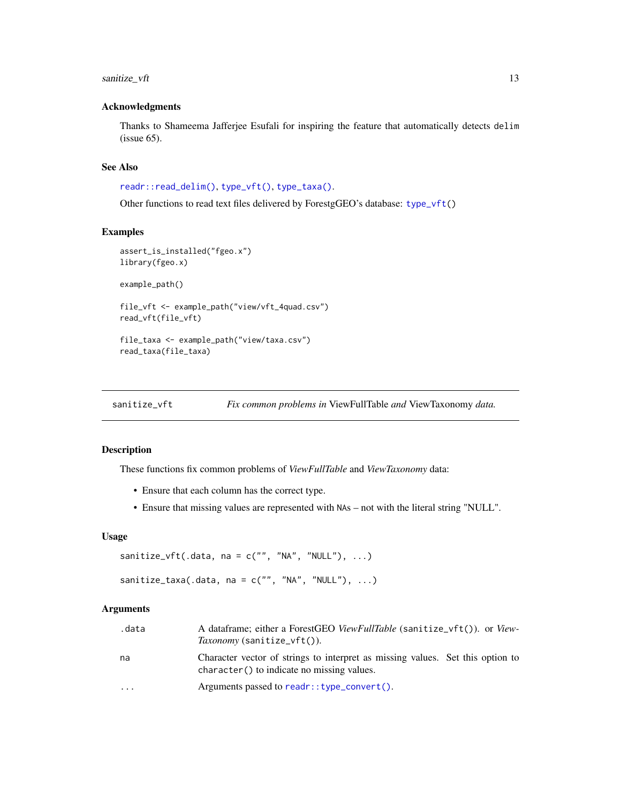#### <span id="page-12-0"></span>sanitize\_vft 13

#### Acknowledgments

Thanks to Shameema Jafferjee Esufali for inspiring the feature that automatically detects delim (issue 65).

#### See Also

[readr::read\\_delim\(\)](#page-0-0), [type\\_vft\(\)](#page-0-0), [type\\_taxa\(\)](#page-0-0).

Other functions to read text files delivered by ForestgGEO's database: [type\\_vft\(](#page-0-0))

#### Examples

```
assert_is_installed("fgeo.x")
library(fgeo.x)
example_path()
file_vft <- example_path("view/vft_4quad.csv")
read_vft(file_vft)
```
file\_taxa <- example\_path("view/taxa.csv") read\_taxa(file\_taxa)

sanitize\_vft *Fix common problems in* ViewFullTable *and* ViewTaxonomy *data.*

#### Description

These functions fix common problems of *ViewFullTable* and *ViewTaxonomy* data:

- Ensure that each column has the correct type.
- Ensure that missing values are represented with NAs not with the literal string "NULL".

#### Usage

```
sanitize_vft(.data, na = c("", "NA", "NULL"), ...)
sanitize_taxa(.data, na = c("", "NA", "NULL"), ...)
```
# Arguments

| .data                   | A dataframe; either a ForestGEO ViewFullTable (sanitize_vft()). or View-<br><i>Taxonomy</i> (sanitize_vft()).                |
|-------------------------|------------------------------------------------------------------------------------------------------------------------------|
| na                      | Character vector of strings to interpret as missing values. Set this option to<br>character() to indicate no missing values. |
| $\cdot$ $\cdot$ $\cdot$ | Arguments passed to readr:: $type_{convert}()$ .                                                                             |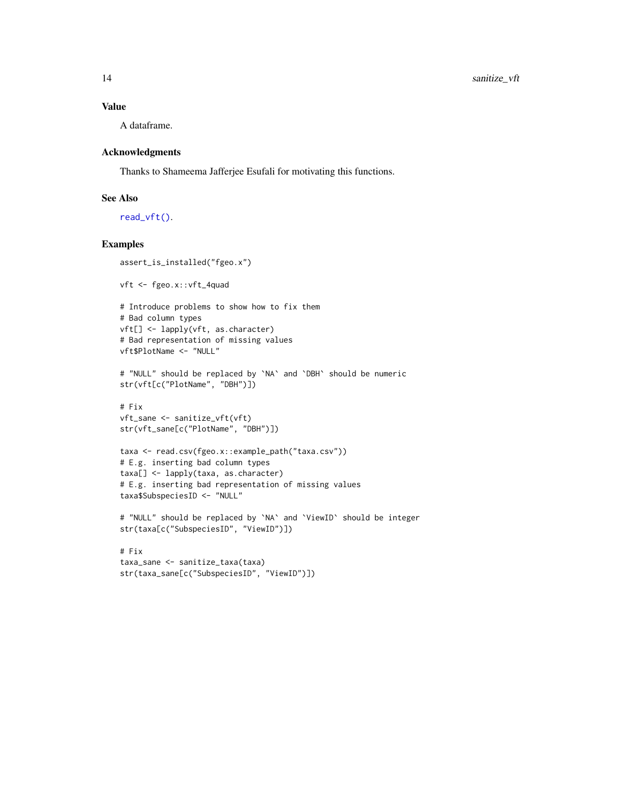#### <span id="page-13-0"></span>Value

A dataframe.

#### Acknowledgments

Thanks to Shameema Jafferjee Esufali for motivating this functions.

#### See Also

[read\\_vft\(\)](#page-11-1).

#### Examples

```
assert_is_installed("fgeo.x")
vft <- fgeo.x::vft_4quad
# Introduce problems to show how to fix them
# Bad column types
vft[] <- lapply(vft, as.character)
# Bad representation of missing values
vft$PlotName <- "NULL"
# "NULL" should be replaced by `NA` and `DBH` should be numeric
str(vft[c("PlotName", "DBH")])
# Fix
vft_sane <- sanitize_vft(vft)
str(vft_sane[c("PlotName", "DBH")])
taxa <- read.csv(fgeo.x::example_path("taxa.csv"))
# E.g. inserting bad column types
taxa[] <- lapply(taxa, as.character)
# E.g. inserting bad representation of missing values
taxa$SubspeciesID <- "NULL"
# "NULL" should be replaced by `NA` and `ViewID` should be integer
str(taxa[c("SubspeciesID", "ViewID")])
# Fix
taxa_sane <- sanitize_taxa(taxa)
```
str(taxa\_sane[c("SubspeciesID", "ViewID")])